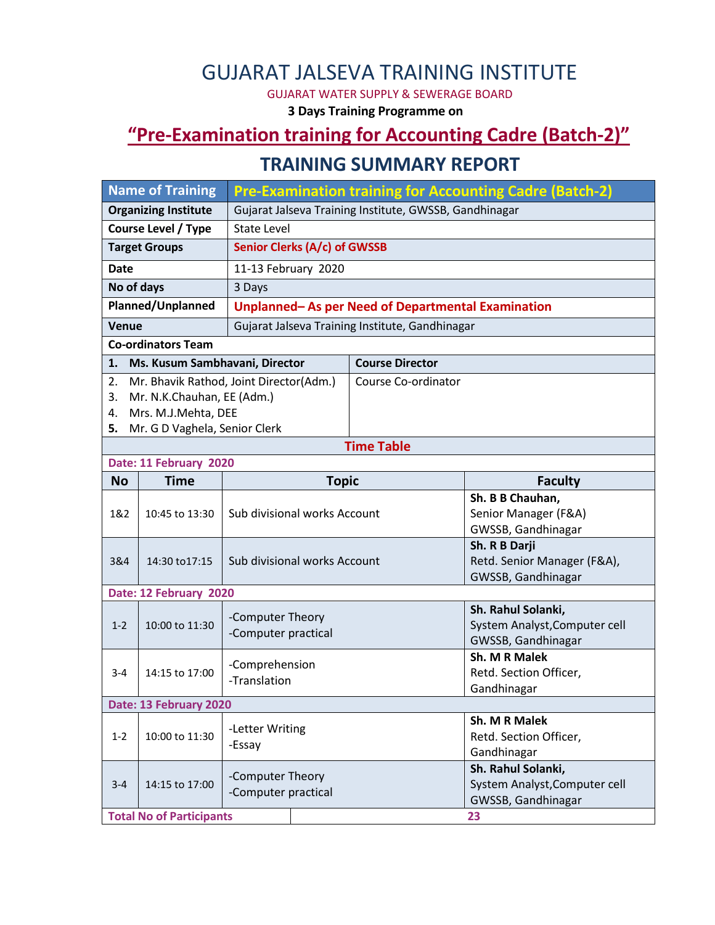# GUJARAT JALSEVA TRAINING INSTITUTE

GUJARAT WATER SUPPLY & SEWERAGE BOARD

**3 Days Training Programme on**

## **"Pre-Examination training for Accounting Cadre (Batch-2)"**

#### **TRAINING SUMMARY REPORT**

| <b>Name of Training</b>                     |                                              | <b>Pre-Examination training for Accounting Cadre (Batch-2)</b> |                     |                        |                                       |  |  |  |  |
|---------------------------------------------|----------------------------------------------|----------------------------------------------------------------|---------------------|------------------------|---------------------------------------|--|--|--|--|
| <b>Organizing Institute</b>                 |                                              | Gujarat Jalseva Training Institute, GWSSB, Gandhinagar         |                     |                        |                                       |  |  |  |  |
| <b>Course Level / Type</b>                  |                                              | <b>State Level</b>                                             |                     |                        |                                       |  |  |  |  |
| <b>Target Groups</b>                        |                                              | Senior Clerks (A/c) of GWSSB                                   |                     |                        |                                       |  |  |  |  |
| <b>Date</b>                                 |                                              |                                                                | 11-13 February 2020 |                        |                                       |  |  |  |  |
| No of days                                  |                                              | 3 Days                                                         |                     |                        |                                       |  |  |  |  |
| Planned/Unplanned                           |                                              | Unplanned-As per Need of Departmental Examination              |                     |                        |                                       |  |  |  |  |
| Venue                                       |                                              | Gujarat Jalseva Training Institute, Gandhinagar                |                     |                        |                                       |  |  |  |  |
| <b>Co-ordinators Team</b>                   |                                              |                                                                |                     |                        |                                       |  |  |  |  |
| 1.                                          | Ms. Kusum Sambhavani, Director               |                                                                |                     | <b>Course Director</b> |                                       |  |  |  |  |
| 2.                                          |                                              | Mr. Bhavik Rathod, Joint Director(Adm.)                        |                     | Course Co-ordinator    |                                       |  |  |  |  |
| 3.                                          | Mr. N.K.Chauhan, EE (Adm.)                   |                                                                |                     |                        |                                       |  |  |  |  |
| 4.                                          | Mrs. M.J.Mehta, DEE                          |                                                                |                     |                        |                                       |  |  |  |  |
| Mr. G D Vaghela, Senior Clerk<br>5.         |                                              |                                                                |                     |                        |                                       |  |  |  |  |
| <b>Time Table</b><br>Date: 11 February 2020 |                                              |                                                                |                     |                        |                                       |  |  |  |  |
| <b>No</b>                                   | <b>Topic</b><br><b>Time</b>                  |                                                                |                     | <b>Faculty</b>         |                                       |  |  |  |  |
| 1&2                                         | 10:45 to 13:30                               |                                                                |                     |                        | Sh. B B Chauhan,                      |  |  |  |  |
|                                             |                                              | Sub divisional works Account                                   |                     |                        | Senior Manager (F&A)                  |  |  |  |  |
|                                             |                                              |                                                                |                     |                        | GWSSB, Gandhinagar                    |  |  |  |  |
|                                             | 14:30 to 17:15                               |                                                                |                     |                        | Sh. R B Darji                         |  |  |  |  |
| 3&4                                         |                                              | Sub divisional works Account                                   |                     |                        | Retd. Senior Manager (F&A),           |  |  |  |  |
|                                             |                                              |                                                                |                     | GWSSB, Gandhinagar     |                                       |  |  |  |  |
|                                             | Date: 12 February 2020<br>Sh. Rahul Solanki, |                                                                |                     |                        |                                       |  |  |  |  |
| $1 - 2$                                     | 10:00 to 11:30                               | -Computer Theory                                               |                     |                        | System Analyst, Computer cell         |  |  |  |  |
|                                             |                                              | -Computer practical                                            |                     |                        | GWSSB, Gandhinagar                    |  |  |  |  |
|                                             | 14:15 to 17:00                               | -Comprehension<br>-Translation                                 |                     |                        | Sh. M R Malek                         |  |  |  |  |
| $3 - 4$                                     |                                              |                                                                |                     |                        | Retd. Section Officer,                |  |  |  |  |
|                                             |                                              |                                                                |                     |                        | Gandhinagar                           |  |  |  |  |
| Date: 13 February 2020                      |                                              |                                                                |                     |                        |                                       |  |  |  |  |
|                                             | 10:00 to 11:30                               | -Letter Writing                                                |                     |                        | Sh. M R Malek                         |  |  |  |  |
| $1 - 2$                                     |                                              | -Essay                                                         |                     |                        | Retd. Section Officer,<br>Gandhinagar |  |  |  |  |
|                                             |                                              |                                                                |                     |                        | Sh. Rahul Solanki,                    |  |  |  |  |
| $3 - 4$                                     | 14:15 to 17:00                               | -Computer Theory<br>-Computer practical                        |                     |                        | System Analyst, Computer cell         |  |  |  |  |
|                                             |                                              |                                                                |                     |                        | GWSSB, Gandhinagar                    |  |  |  |  |
| <b>Total No of Participants</b><br>23       |                                              |                                                                |                     |                        |                                       |  |  |  |  |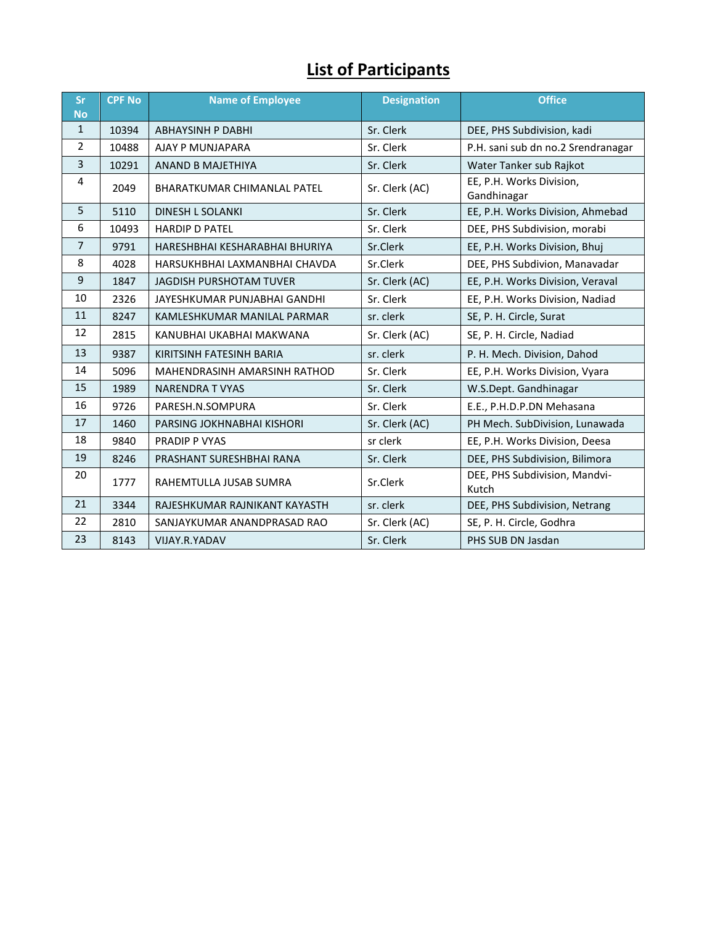# **List of Participants**

| Sr<br><b>No</b> | <b>CPF No</b> | <b>Name of Employee</b>            | <b>Designation</b> | <b>Office</b>                           |
|-----------------|---------------|------------------------------------|--------------------|-----------------------------------------|
| $\mathbf{1}$    | 10394         | <b>ABHAYSINH P DABHI</b>           | Sr. Clerk          | DEE, PHS Subdivision, kadi              |
| 2               | 10488         | AJAY P MUNJAPARA                   | Sr. Clerk          | P.H. sani sub dn no.2 Srendranagar      |
| 3               | 10291         | <b>ANAND B MAJETHIYA</b>           | Sr. Clerk          | Water Tanker sub Rajkot                 |
| 4               | 2049          | <b>BHARATKUMAR CHIMANLAL PATEL</b> | Sr. Clerk (AC)     | EE, P.H. Works Division,<br>Gandhinagar |
| 5               | 5110          | <b>DINESH L SOLANKI</b>            | Sr. Clerk          | EE, P.H. Works Division, Ahmebad        |
| 6               | 10493         | <b>HARDIP D PATEL</b>              | Sr. Clerk          | DEE, PHS Subdivision, morabi            |
| $\overline{7}$  | 9791          | HARESHBHAI KESHARABHAI BHURIYA     | Sr.Clerk           | EE, P.H. Works Division, Bhuj           |
| 8               | 4028          | HARSUKHBHAI LAXMANBHAI CHAVDA      | Sr.Clerk           | DEE, PHS Subdivion, Manavadar           |
| 9               | 1847          | <b>JAGDISH PURSHOTAM TUVER</b>     | Sr. Clerk (AC)     | EE, P.H. Works Division, Veraval        |
| 10              | 2326          | JAYESHKUMAR PUNJABHAI GANDHI       | Sr. Clerk          | EE, P.H. Works Division, Nadiad         |
| 11              | 8247          | KAMLESHKUMAR MANILAL PARMAR        | sr. clerk          | SE, P. H. Circle, Surat                 |
| 12              | 2815          | KANUBHAI UKABHAI MAKWANA           | Sr. Clerk (AC)     | SE, P. H. Circle, Nadiad                |
| 13              | 9387          | KIRITSINH FATESINH BARIA           | sr. clerk          | P. H. Mech. Division, Dahod             |
| 14              | 5096          | MAHENDRASINH AMARSINH RATHOD       | Sr. Clerk          | EE, P.H. Works Division, Vyara          |
| 15              | 1989          | <b>NARENDRA T VYAS</b>             | Sr. Clerk          | W.S.Dept. Gandhinagar                   |
| 16              | 9726          | PARESH.N.SOMPURA                   | Sr. Clerk          | E.E., P.H.D.P.DN Mehasana               |
| 17              | 1460          | PARSING JOKHNABHAI KISHORI         | Sr. Clerk (AC)     | PH Mech. SubDivision, Lunawada          |
| 18              | 9840          | PRADIP P VYAS                      | sr clerk           | EE, P.H. Works Division, Deesa          |
| 19              | 8246          | PRASHANT SURESHBHAI RANA           | Sr. Clerk          | DEE, PHS Subdivision, Bilimora          |
| 20              | 1777          | RAHEMTULLA JUSAB SUMRA             | Sr.Clerk           | DEE, PHS Subdivision, Mandvi-<br>Kutch  |
| 21              | 3344          | RAJESHKUMAR RAJNIKANT KAYASTH      | sr. clerk          | DEE, PHS Subdivision, Netrang           |
| 22              | 2810          | SANJAYKUMAR ANANDPRASAD RAO        | Sr. Clerk (AC)     | SE, P. H. Circle, Godhra                |
| 23              | 8143          | VIJAY.R.YADAV                      | Sr. Clerk          | PHS SUB DN Jasdan                       |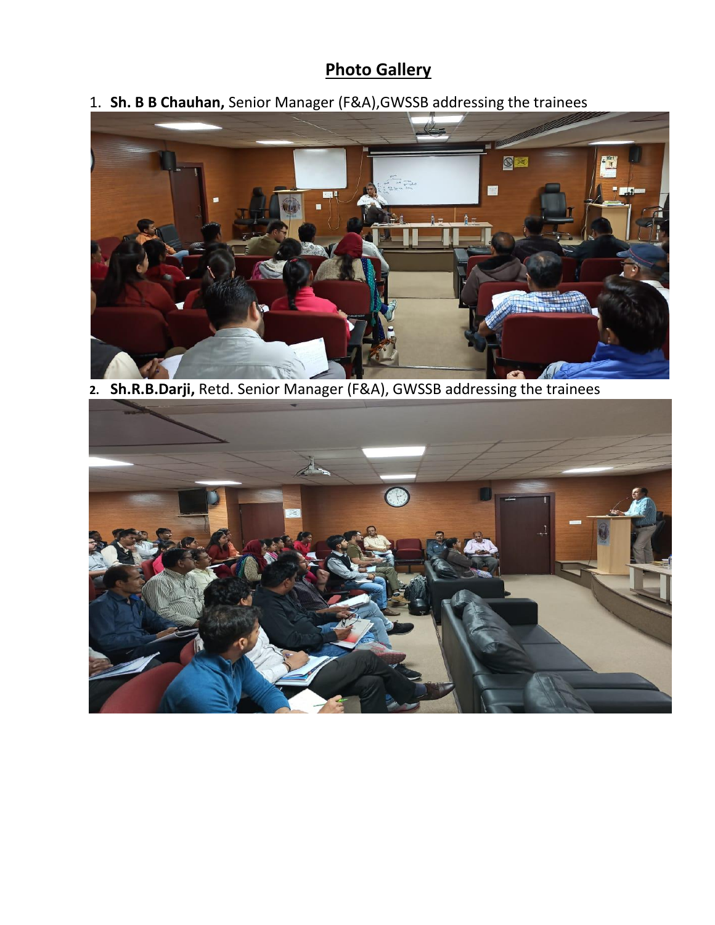## **Photo Gallery**

1. **Sh. B B Chauhan,** Senior Manager (F&A),GWSSB addressing the trainees



**2. Sh.R.B.Darji,** Retd. Senior Manager (F&A), GWSSB addressing the trainees